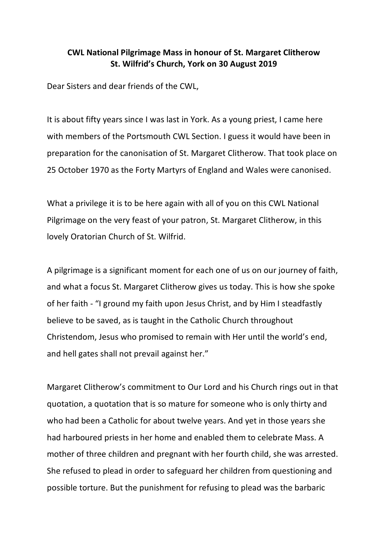## **CWL National Pilgrimage Mass in honour of St. Margaret Clitherow St. Wilfrid's Church, York on 30 August 2019**

Dear Sisters and dear friends of the CWL,

It is about fifty years since I was last in York. As a young priest, I came here with members of the Portsmouth CWL Section. I guess it would have been in preparation for the canonisation of St. Margaret Clitherow. That took place on 25 October 1970 as the Forty Martyrs of England and Wales were canonised.

What a privilege it is to be here again with all of you on this CWL National Pilgrimage on the very feast of your patron, St. Margaret Clitherow, in this lovely Oratorian Church of St. Wilfrid.

A pilgrimage is a significant moment for each one of us on our journey of faith, and what a focus St. Margaret Clitherow gives us today. This is how she spoke of her faith - "I ground my faith upon Jesus Christ, and by Him I steadfastly believe to be saved, as is taught in the Catholic Church throughout Christendom, Jesus who promised to remain with Her until the world's end, and hell gates shall not prevail against her."

Margaret Clitherow's commitment to Our Lord and his Church rings out in that quotation, a quotation that is so mature for someone who is only thirty and who had been a Catholic for about twelve years. And yet in those years she had harboured priests in her home and enabled them to celebrate Mass. A mother of three children and pregnant with her fourth child, she was arrested. She refused to plead in order to safeguard her children from questioning and possible torture. But the punishment for refusing to plead was the barbaric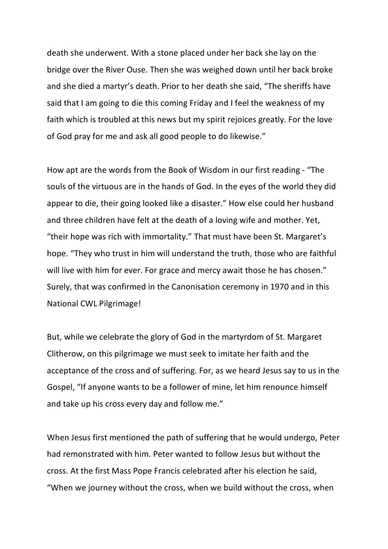death she underwent. With a stone placed under her back she lay on the bridge over the River Ouse. Then she was weighed down until her back broke and she died a martyr's death. Prior to her death she said, "The sheriffs have said that I am going to die this coming Friday and I feel the weakness of my faith which is troubled at this news but my spirit rejoices greatly. For the love of God pray for me and ask all good people to do likewise."

How apt are the words from the Book of Wisdom in our first reading - "The souls of the virtuous are in the hands of God. In the eyes of the world they did appear to die, their going looked like a disaster." How else could her husband and three children have felt at the death of a loving wife and mother. Yet, "their hope was rich with immortality." That must have been St. Margaret's hope. "They who trust in him will understand the truth, those who are faithful will live with him for ever. For grace and mercy await those he has chosen." Surely, that was confirmed in the Canonisation ceremony in 1970 and in this National CWL Pilgrimage!

But, while we celebrate the glory of God in the martyrdom of St. Margaret Clitherow, on this pilgrimage we must seek to imitate her faith and the acceptance of the cross and of suffering. For, as we heard Jesus say to us in the Gospel, "If anyone wants to be a follower of mine, let him renounce himself and take up his cross every day and follow me."

When Jesus first mentioned the path of suffering that he would undergo, Peter had remonstrated with him. Peter wanted to follow Jesus but without the cross. At the first Mass Pope Francis celebrated after his election he said, "When we journey without the cross, when we build without the cross, when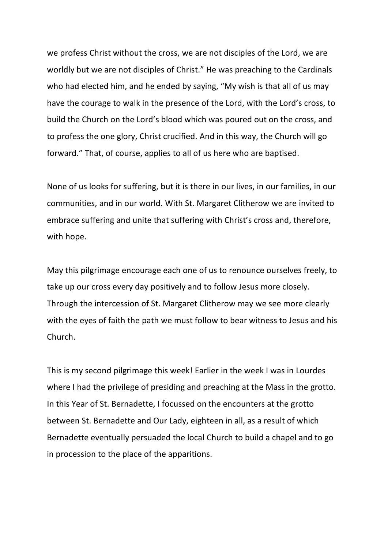we profess Christ without the cross, we are not disciples of the Lord, we are worldly but we are not disciples of Christ." He was preaching to the Cardinals who had elected him, and he ended by saying, "My wish is that all of us may have the courage to walk in the presence of the Lord, with the Lord's cross, to build the Church on the Lord's blood which was poured out on the cross, and to profess the one glory, Christ crucified. And in this way, the Church will go forward." That, of course, applies to all of us here who are baptised.

None of us looks for suffering, but it is there in our lives, in our families, in our communities, and in our world. With St. Margaret Clitherow we are invited to embrace suffering and unite that suffering with Christ's cross and, therefore, with hope.

May this pilgrimage encourage each one of us to renounce ourselves freely, to take up our cross every day positively and to follow Jesus more closely. Through the intercession of St. Margaret Clitherow may we see more clearly with the eyes of faith the path we must follow to bear witness to Jesus and his Church.

This is my second pilgrimage this week! Earlier in the week I was in Lourdes where I had the privilege of presiding and preaching at the Mass in the grotto. In this Year of St. Bernadette, I focussed on the encounters at the grotto between St. Bernadette and Our Lady, eighteen in all, as a result of which Bernadette eventually persuaded the local Church to build a chapel and to go in procession to the place of the apparitions.